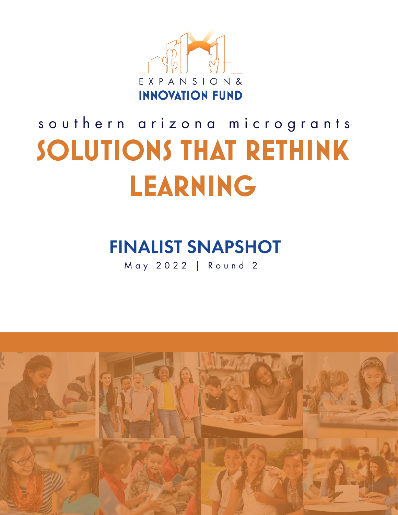

# **SOLUTIONS THAT RETHINK LEARNING** southern arizona microgrants

## FINALIST SNAPSHOT

May 2022 | Round 2

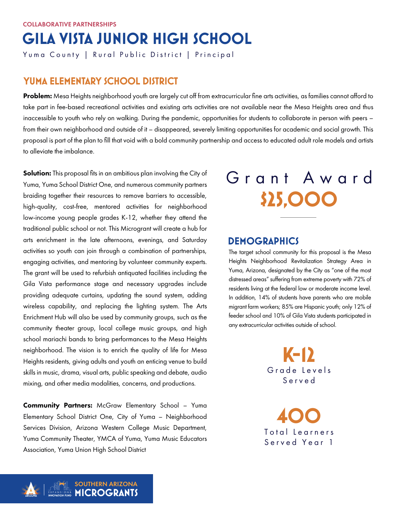## **GILA VISTA JUNIOR HIGH SCHOOL**

Yuma County | Rural Public District | Principal

## **YUMA ELEMENTARY SCHOOL DISTRICT**

Problem: Mesa Heights neighborhood youth are largely cut off from extracurricular fine arts activities, as families cannot afford to take part in fee-based recreational activities and existing arts activities are not available near the Mesa Heights area and thus inaccessible to youth who rely on walking. During the pandemic, opportunities for students to collaborate in person with peers – from their own neighborhood and outside of it – disappeared, severely limiting opportunities for academic and social growth. This proposal is part of the plan to fill that void with a bold community partnership and access to educated adult role models and artists to alleviate the imbalance.

Solution: This proposal fits in an ambitious plan involving the City of Yuma, Yuma School District One, and numerous community partners braiding together their resources to remove barriers to accessible, high-quality, cost-free, mentored activities for neighborhood low-income young people grades K-12, whether they attend the traditional public school or not. This Microgrant will create a hub for arts enrichment in the late afternoons, evenings, and Saturday activities so youth can join through a combination of partnerships, engaging activities, and mentoring by volunteer community experts. The grant will be used to refurbish antiquated facilities including the Gila Vista performance stage and necessary upgrades include providing adequate curtains, updating the sound system, adding wireless capability, and replacing the lighting system. The Arts Enrichment Hub will also be used by community groups, such as the community theater group, local college music groups, and high school mariachi bands to bring performances to the Mesa Heights neighborhood. The vision is to enrich the quality of life for Mesa Heights residents, giving adults and youth an enticing venue to build skills in music, drama, visual arts, public speaking and debate, audio mixing, and other media modalities, concerns, and productions.

Community Partners: McGraw Elementary School - Yuma Elementary School District One, City of Yuma – Neighborhood Services Division, Arizona Western College Music Department, Yuma Community Theater, YMCA of Yuma, Yuma Music Educators Association, Yuma Union High School District

## **\$25,000** Grant Award

### **DEMOGRAPHICS**

The target school community for this proposal is the Mesa Heights Neighborhood Revitalization Strategy Area in Yuma, Arizona, designated by the City as "one of the most distressed areas" suffering from extreme poverty with 72% of residents living at the federal low or moderate income level. In addition, 14% of students have parents who are mobile migrant farm workers; 85% are Hispanic youth; only 12% of feeder school and 10% of Gila Vista students participated in any extracurricular activities outside of school.

> Grade Levels Served **K-12**

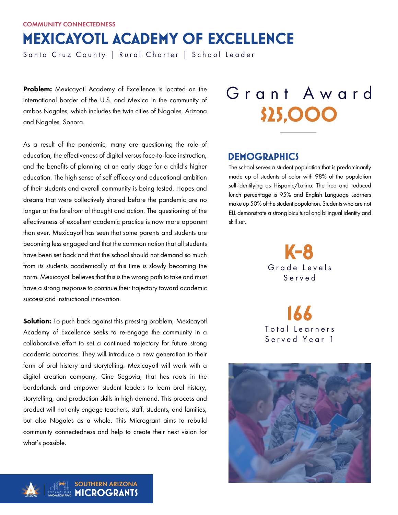COMMUNITY CONNECTEDNESS

## **MEXICAYOTL ACADEMY OF EXCELLENCE**

Santa Cruz County | Rural Charter | School Leader

Problem: Mexicayotl Academy of Excellence is located on the international border of the U.S. and Mexico in the community of ambos Nogales, which includes the twin cities of Nogales, Arizona and Nogales, Sonora.

As a result of the pandemic, many are questioning the role of education, the effectiveness of digital versus face-to-face instruction, and the benefits of planning at an early stage for a child's higher education. The high sense of self efficacy and educational ambition of their students and overall community is being tested. Hopes and dreams that were collectively shared before the pandemic are no longer at the forefront of thought and action. The questioning of the effectiveness of excellent academic practice is now more apparent than ever. Mexicayotl has seen that some parents and students are becoming less engaged and that the common notion that all students have been set back and that the school should not demand so much from its students academically at this time is slowly becoming the norm. Mexicayotl believes that this is the wrong path to take and must have a strong response to continue their trajectory toward academic success and instructional innovation.

Solution: To push back against this pressing problem, Mexicayotl Academy of Excellence seeks to re-engage the community in a collaborative effort to set a continued trajectory for future strong academic outcomes. They will introduce a new generation to their form of oral history and storytelling. Mexicayotl will work with a digital creation company, Cine Segovia, that has roots in the borderlands and empower student leaders to learn oral history, storytelling, and production skills in high demand. This process and product will not only engage teachers, staff, students, and families, but also Nogales as a whole. This Microgrant aims to rebuild community connectedness and help to create their next vision for what's possible.

# **\$25,000** Grant Award

## **DEMOGRAPHICS**

The school serves a student population that is predominantly made up of students of color with 98% of the population self-identifying as Hispanic/Latino. The free and reduced lunch percentage is 95% and English Language Learners make up 50% of the student population. Students who are not ELL demonstrate a strong bicultural and bilingual identity and skill set.

> Grade Levels Served **K-8**



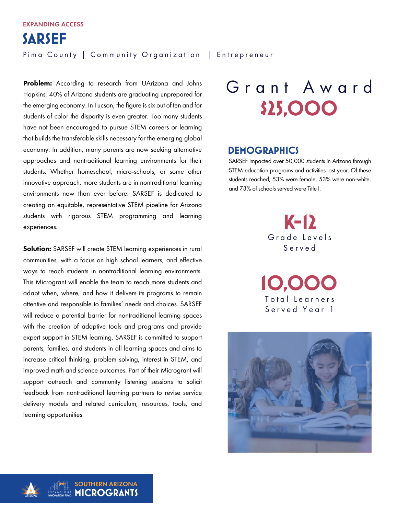**SARSEF** Pima County | Community Organization | Entrepreneur

Problem: According to research from UArizona and Johns Hopkins, 40% of Arizona students are graduating unprepared for the emerging economy. In Tucson, the figure is six out of ten and for students of color the disparity is even greater. Too many students have not been encouraged to pursue STEM careers or learning that builds the transferable skills necessary for the emerging global economy. In addition, many parents are now seeking alternative approaches and nontraditional learning environments for their students. Whether homeschool, micro-schools, or some other innovative approach, more students are in nontraditional learning environments now than ever before. SARSEF is dedicated to creating an equitable, representative STEM pipeline for Arizona students with rigorous STEM programming and learning experiences.

Solution: SARSEF will create STEM learning experiences in rural communities, with a focus on high school learners, and effective ways to reach students in nontraditional learning environments. This Microgrant will enable the team to reach more students and adapt when, where, and how it delivers its programs to remain attentive and responsible to families' needs and choices. SARSEF will reduce a potential barrier for nontraditional learning spaces with the creation of adaptive tools and programs and provide expert support in STEM learning. SARSEF is committed to support parents, families, and students in all learning spaces and aims to increase critical thinking, problem solving, interest in STEM, and improved math and science outcomes. Part of their Microgrant will support outreach and community listening sessions to solicit feedback from nontraditional learning partners to revise service delivery models and related curriculum, resources, tools, and learning opportunities.

# **\$25,000** Grant Award

### **DEMOGRAPHICS**

SARSEF impacted over 50,000 students in Arizona through STEM education programs and activities last year. Of these students reached, 53% were female, 53% were non-white, and 73% of schools served were Title I.

> Grade Levels Served **K-12**

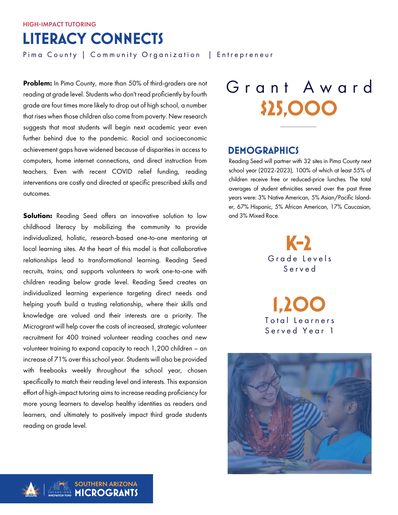## **LITERACY CONNECTS**

Pima County | Community Organization | Entrepreneur

Problem: In Pima County, more than 50% of third-graders are not reading at grade level. Students who don't read proficiently by fourth grade are four times more likely to drop out of high school, a number that rises when those children also come from poverty. New research suggests that most students will begin next academic year even further behind due to the pandemic. Racial and socioeconomic achievement gaps have widened because of disparities in access to computers, home internet connections, and direct instruction from teachers. Even with recent COVID relief funding, reading interventions are costly and directed at specific prescribed skills and outcomes.

**Solution:** Reading Seed offers an innovative solution to low childhood literacy by mobilizing the community to provide individualized, holistic, research-based one-to-one mentoring at local learning sites. At the heart of this model is that collaborative relationships lead to transformational learning. Reading Seed recruits, trains, and supports volunteers to work one-to-one with children reading below grade level. Reading Seed creates an individualized learning experience targeting direct needs and helping youth build a trusting relationship, where their skills and knowledge are valued and their interests are a priority. The Microgrant will help cover the costs of increased, strategic volunteer recruitment for 400 trained volunteer reading coaches and new volunteer training to expand capacity to reach 1,200 children – an increase of 71% over this school year. Students will also be provided with freebooks weekly throughout the school year, chosen specifically to match their reading level and interests. This expansion effort of high-impact tutoring aims to increase reading proficiency for more young learners to develop healthy identities as readers and learners, and ultimately to positively impact third grade students reading on grade level.

# **\$25,000** Grant Award

### **DEMOGRAPHICS**

Reading Seed will partner with 32 sites in Pima County next school year (2022-2023), 100% of which at least 55% of children receive free or reduced-price lunches. The total averages of student ethnicities served over the past three years were: 3% Native American, 5% Asian/Pacific Islander, 67% Hispanic, 5% African American, 17% Caucasian, and 3% Mixed Race.

> Grade Levels Served **K-2**



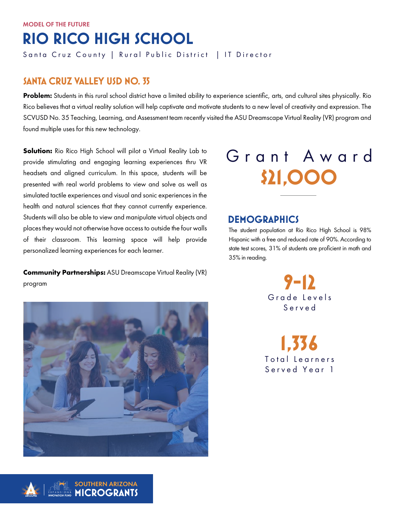### **SANTA CRUZ VALLEY USD NO. 35**

Problem: Students in this rural school district have a limited ability to experience scientific, arts, and cultural sites physically. Rio Rico believes that a virtual reality solution will help captivate and motivate students to a new level of creativity and expression. The SCVUSD No. 35 Teaching, Learning, and Assessment team recently visited the ASU Dreamscape Virtual Reality (VR) program and found multiple uses for this new technology.

**Solution:** Rio Rico High School will pilot a Virtual Reality Lab to provide stimulating and engaging learning experiences thru VR headsets and aligned curriculum. In this space, students will be presented with real world problems to view and solve as well as simulated tactile experiences and visual and sonic experiences in the health and natural sciences that they cannot currently experience. Students will also be able to view and manipulate virtual objects and places they would not otherwise have access to outside the four walls of their classroom. This learning space will help provide personalized learning experiences for each learner.

**Community Partnerships:** ASU Dreamscape Virtual Reality (VR) program





## **DEMOGRAPHICS**

The student population at Rio Rico High School is 98% Hispanic with a free and reduced rate of 90%. According to state test scores, 31% of students are proficient in math and 35% in reading.

> Grade Levels Served **9-12**

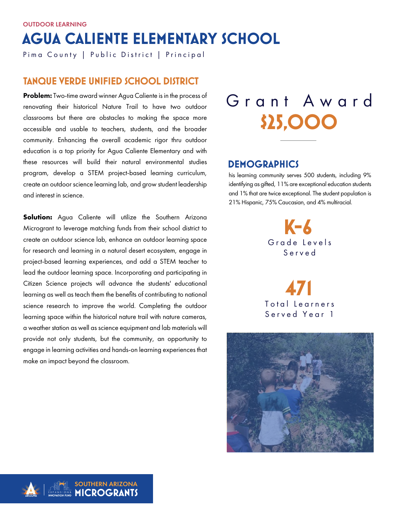## **AGUA CALIENTE ELEMENTARY SCHOOL**

Pima County | Public District | Principal

### **TANQUE VERDE UNIFIED SCHOOL DISTRICT**

**Problem:** Two-time award winner Agua Caliente is in the process of renovating their historical Nature Trail to have two outdoor classrooms but there are obstacles to making the space more accessible and usable to teachers, students, and the broader community. Enhancing the overall academic rigor thru outdoor education is a top priority for Agua Caliente Elementary and with these resources will build their natural environmental studies program, develop a STEM project-based learning curriculum, create an outdoor science learning lab, and grow student leadership and interest in science.

**Solution:** Agua Caliente will utilize the Southern Arizona Microgrant to leverage matching funds from their school district to create an outdoor science lab, enhance an outdoor learning space for research and learning in a natural desert ecosystem, engage in project-based learning experiences, and add a STEM teacher to lead the outdoor learning space. Incorporating and participating in Citizen Science projects will advance the students' educational learning as well as teach them the benefits of contributing to national science research to improve the world. Completing the outdoor learning space within the historical nature trail with nature cameras, a weather station as well as science equipment and lab materials will provide not only students, but the community, an opportunity to engage in learning activities and hands-on learning experiences that make an impact beyond the classroom.

# **\$25,000** Grant Award

## **DEMOGRAPHICS**

his learning community serves 500 students, including 9% identifying as gifted, 11% are exceptional education students and 1% that are twice exceptional. The student population is 21% Hispanic, 75% Caucasian, and 4% multiracial.

> Grade Levels Served **K-6**

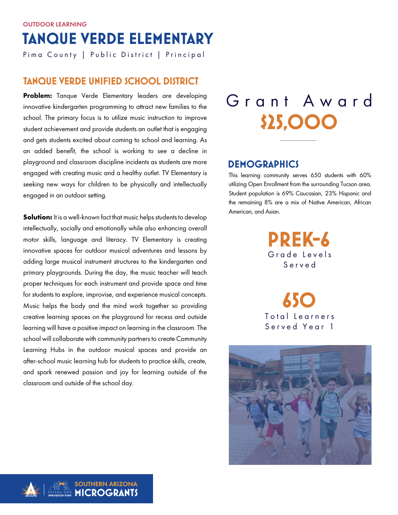## **TANQUE VERDE ELEMENTARY**  OUTDOOR LEARNING

Pima County | Public District | Principal

### **TANQUE VERDE UNIFIED SCHOOL DISTRICT**

Problem: Tanque Verde Elementary leaders are developing innovative kindergarten programming to attract new families to the school. The primary focus is to utilize music instruction to improve student achievement and provide students an outlet that is engaging and gets students excited about coming to school and learning. As an added benefit, the school is working to see a decline in playground and classroom discipline incidents as students are more engaged with creating music and a healthy outlet. TV Elementary is seeking new ways for children to be physically and intellectually engaged in an outdoor setting.

**Solution:** It is a well-known fact that music helps students to develop intellectually, socially and emotionally while also enhancing overall motor skills, language and literacy. TV Elementary is creating innovative spaces for outdoor musical adventures and lessons by adding large musical instrument structures to the kindergarten and primary playgrounds. During the day, the music teacher will teach proper techniques for each instrument and provide space and time for students to explore, improvise, and experience musical concepts. Music helps the body and the mind work together so providing creative learning spaces on the playground for recess and outside learning will have a positive impact on learning in the classroom. The school will collaborate with community partners to create Community Learning Hubs in the outdoor musical spaces and provide an after-school music learning hub for students to practice skills, create, and spark renewed passion and joy for learning outside of the classroom and outside of the school day.

## **\$25,000** Grant Award

## **DEMOGRAPHICS**

This learning community serves 650 students with 60% utilizing Open Enrollment from the surrounding Tucson area. Student population is 69% Caucasian, 23% Hispanic and the remaining 8% are a mix of Native American, African American, and Asian.

> Grade Levels Served **PREK-6**

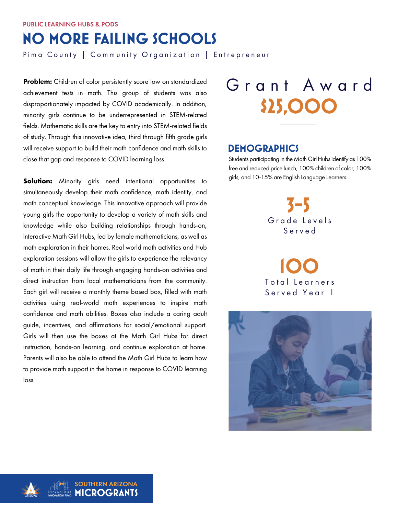## **NO MORE FAILING SCHOOLS**

Pima County | Community Organization | Entrepreneur

Problem: Children of color persistently score low on standardized achievement tests in math. This group of students was also disproportionately impacted by COVID academically. In addition, minority girls continue to be underrepresented in STEM-related fields. Mathematic skills are the key to entry into STEM-related fields of study. Through this innovative idea, third through fifth grade girls will receive support to build their math confidence and math skills to close that gap and response to COVID learning loss.

**Solution:** Minority girls need intentional opportunities to simultaneously develop their math confidence, math identity, and math conceptual knowledge. This innovative approach will provide young girls the opportunity to develop a variety of math skills and knowledge while also building relationships through hands-on, interactive Math Girl Hubs, led by female mathematicians, as well as math exploration in their homes. Real world math activities and Hub exploration sessions will allow the girls to experience the relevancy of math in their daily life through engaging hands-on activities and direct instruction from local mathematicians from the community. Each girl will receive a monthly theme based box, filled with math activities using real-world math experiences to inspire math confidence and math abilities. Boxes also include a caring adult guide, incentives, and affirmations for social/emotional support. Girls will then use the boxes at the Math Girl Hubs for direct instruction, hands-on learning, and continue exploration at home. Parents will also be able to attend the Math Girl Hubs to learn how to provide math support in the home in response to COVID learning loss.

# **\$25,000** Grant Award

#### **DEMOGRAPHICS**

Students participating in the Math Girl Hubs identify as 100% free and reduced price lunch, 100% children of color, 100% girls, and 10-15% are English Language Learners.

> Grade Levels Served **3-5**



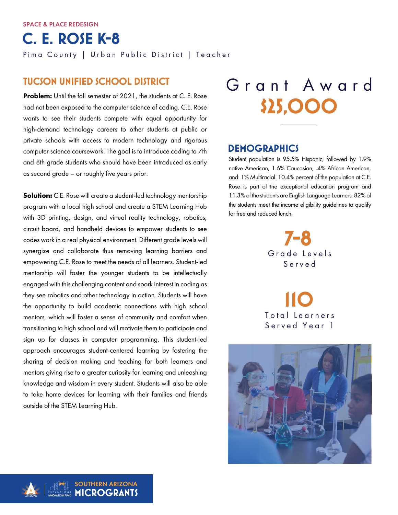**C. E. ROSE K-8** 

Pima County | Urban Public District | Teacher

### **TUCSON UNIFIED SCHOOL DISTRICT**

Problem: Until the fall semester of 2021, the students at C. E. Rose had not been exposed to the computer science of coding. C.E. Rose wants to see their students compete with equal opportunity for high-demand technology careers to other students at public or private schools with access to modern technology and rigorous computer science coursework. The goal is to introduce coding to 7th and 8th grade students who should have been introduced as early as second grade – or roughly five years prior.

**Solution:** C.E. Rose will create a student-led technology mentorship program with a local high school and create a STEM Learning Hub with 3D printing, design, and virtual reality technology, robotics, circuit board, and handheld devices to empower students to see codes work in a real physical environment. Different grade levels will synergize and collaborate thus removing learning barriers and empowering C.E. Rose to meet the needs of all learners. Student-led mentorship will foster the younger students to be intellectually engaged with this challenging content and spark interest in coding as they see robotics and other technology in action. Students will have the opportunity to build academic connections with high school mentors, which will foster a sense of community and comfort when transitioning to high school and will motivate them to participate and sign up for classes in computer programming. This student-led approach encourages student-centered learning by fostering the sharing of decision making and teaching for both learners and mentors giving rise to a greater curiosity for learning and unleashing knowledge and wisdom in every student. Students will also be able to take home devices for learning with their families and friends outside of the STEM Learning Hub.

# **\$25,000** Grant Award

## **DEMOGRAPHICS**

Student population is 95.5% Hispanic, followed by 1.9% native American, 1.6% Caucasian, .4% African American, and .1% Multiracial. 10.4% percent of the population at C.E. Rose is part of the exceptional education program and 11.3% of the students are English Language Learners. 82% of the students meet the income eligibility guidelines to qualify for free and reduced lunch.

> Grade Levels Served **7-8**

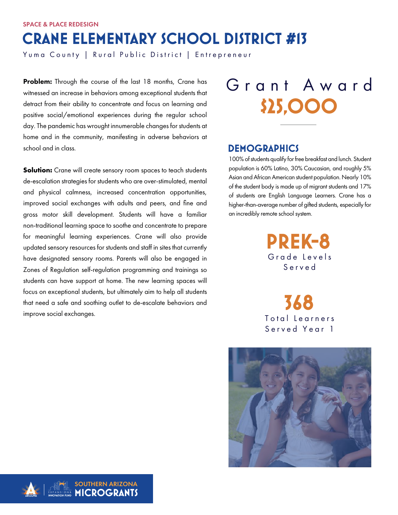## **CRANE ELEMENTARY SCHOOL DISTRICT #13**

Yuma County | Rural Public District | Entrepreneur

Problem: Through the course of the last 18 months, Crane has witnessed an increase in behaviors among exceptional students that detract from their ability to concentrate and focus on learning and positive social/emotional experiences during the regular school day. The pandemic has wrought innumerable changes for students at home and in the community, manifesting in adverse behaviors at school and in class.

**Solution:** Crane will create sensory room spaces to teach students de-escalation strategies for students who are over-stimulated, mental and physical calmness, increased concentration opportunities, improved social exchanges with adults and peers, and fine and gross motor skill development. Students will have a familiar non-traditional learning space to soothe and concentrate to prepare for meaningful learning experiences. Crane will also provide updated sensory resources for students and staff in sites that currently have designated sensory rooms. Parents will also be engaged in Zones of Regulation self-regulation programming and trainings so students can have support at home. The new learning spaces will focus on exceptional students, but ultimately aim to help all students that need a safe and soothing outlet to de-escalate behaviors and improve social exchanges.

# **\$25,000** Grant Award

### **DEMOGRAPHICS**

100% of students qualify for free breakfast and lunch. Student population is 60% Latino, 30% Caucasian, and roughly 5% Asian and African American student population. Nearly 10% of the student body is made up of migrant students and 17% of students are English Language Learners. Crane has a higher-than-average number of gifted students, especially for an incredibly remote school system.

> Grade Levels Served **PREK-8**